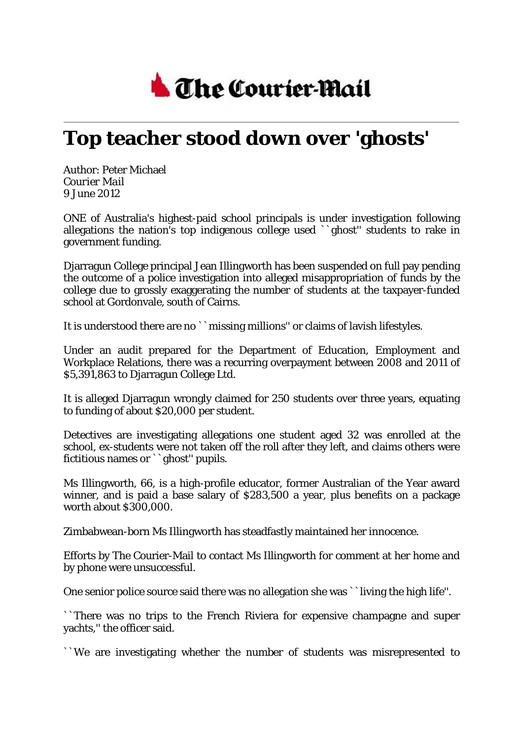

## **Top teacher stood down over 'ghosts'**

Author: Peter Michael *Courier Mail* 9 June 2012

ONE of Australia's highest-paid school principals is under investigation following allegations the nation's top indigenous college used ``ghost'' students to rake in government funding.

Djarragun College principal Jean Illingworth has been suspended on full pay pending the outcome of a police investigation into alleged misappropriation of funds by the college due to grossly exaggerating the number of students at the taxpayer-funded school at Gordonvale, south of Cairns.

It is understood there are no ``missing millions'' or claims of lavish lifestyles.

Under an audit prepared for the Department of Education, Employment and Workplace Relations, there was a recurring overpayment between 2008 and 2011 of \$5,391,863 to Djarragun College Ltd.

It is alleged Djarragun wrongly claimed for 250 students over three years, equating to funding of about \$20,000 per student.

Detectives are investigating allegations one student aged 32 was enrolled at the school, ex-students were not taken off the roll after they left, and claims others were fictitious names or ``ghost'' pupils.

Ms Illingworth, 66, is a high-profile educator, former Australian of the Year award winner, and is paid a base salary of \$283,500 a year, plus benefits on a package worth about \$300,000.

Zimbabwean-born Ms Illingworth has steadfastly maintained her innocence.

Efforts by The Courier-Mail to contact Ms Illingworth for comment at her home and by phone were unsuccessful.

One senior police source said there was no allegation she was ``living the high life''.

``There was no trips to the French Riviera for expensive champagne and super yachts,'' the officer said.

``We are investigating whether the number of students was misrepresented to